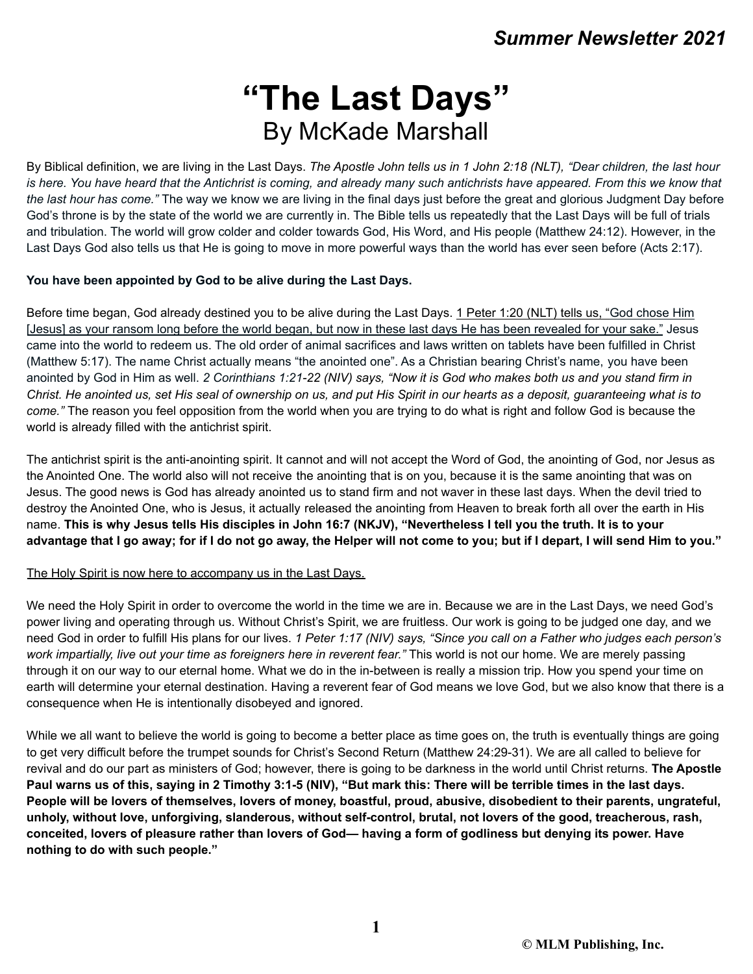# **"The Last Days"** By McKade Marshall

By Biblical definition, we are living in the Last Days. The Apostle John tells us in 1 John 2:18 (NLT), "Dear children, the last hour is here. You have heard that the Antichrist is coming, and already many such antichrists have appeared. From this we know that *the last hour has come."* The way we know we are living in the final days just before the great and glorious Judgment Day before God's throne is by the state of the world we are currently in. The Bible tells us repeatedly that the Last Days will be full of trials and tribulation. The world will grow colder and colder towards God, His Word, and His people (Matthew 24:12). However, in the Last Days God also tells us that He is going to move in more powerful ways than the world has ever seen before (Acts 2:17).

# **You have been appointed by God to be alive during the Last Days.**

Before time began, God already destined you to be alive during the Last Days. 1 Peter 1:20 (NLT) tells us, "God chose Him [Jesus] as your ransom long before the world began, but now in these last days He has been revealed for your sake." Jesus came into the world to redeem us. The old order of animal sacrifices and laws written on tablets have been fulfilled in Christ (Matthew 5:17). The name Christ actually means "the anointed one". As a Christian bearing Christ's name, you have been anointed by God in Him as well. 2 Corinthians 1:21-22 (NIV) says, "Now it is God who makes both us and you stand firm in Christ. He anointed us, set His seal of ownership on us, and put His Spirit in our hearts as a deposit, guaranteeing what is to *come."* The reason you feel opposition from the world when you are trying to do what is right and follow God is because the world is already filled with the antichrist spirit.

The antichrist spirit is the anti-anointing spirit. It cannot and will not accept the Word of God, the anointing of God, nor Jesus as the Anointed One. The world also will not receive the anointing that is on you, because it is the same anointing that was on Jesus. The good news is God has already anointed us to stand firm and not waver in these last days. When the devil tried to destroy the Anointed One, who is Jesus, it actually released the anointing from Heaven to break forth all over the earth in His name. This is why Jesus tells His disciples in John 16:7 (NKJV), "Nevertheless I tell you the truth. It is to your advantage that I go away; for if I do not go away, the Helper will not come to you; but if I depart, I will send Him to you."

# The Holy Spirit is now here to accompany us in the Last Days.

We need the Holy Spirit in order to overcome the world in the time we are in. Because we are in the Last Days, we need God's power living and operating through us. Without Christ's Spirit, we are fruitless. Our work is going to be judged one day, and we need God in order to fulfill His plans for our lives. 1 Peter 1:17 (NIV) says, "Since you call on a Father who judges each person's *work impartially, live out your time as foreigners here in reverent fear."* This world is not our home. We are merely passing through it on our way to our eternal home. What we do in the in-between is really a mission trip. How you spend your time on earth will determine your eternal destination. Having a reverent fear of God means we love God, but we also know that there is a consequence when He is intentionally disobeyed and ignored.

While we all want to believe the world is going to become a better place as time goes on, the truth is eventually things are going to get very difficult before the trumpet sounds for Christ's Second Return (Matthew 24:29-31). We are all called to believe for revival and do our part as ministers of God; however, there is going to be darkness in the world until Christ returns. **The Apostle** Paul warns us of this, saying in 2 Timothy 3:1-5 (NIV), "But mark this: There will be terrible times in the last days. People will be lovers of themselves, lovers of money, boastful, proud, abusive, disobedient to their parents, ungrateful, **unholy, without love, unforgiving, slanderous, without self-control, brutal, not lovers of the good, treacherous, rash,** conceited, lovers of pleasure rather than lovers of God— having a form of godliness but denying its power. Have **nothing to do with such people."**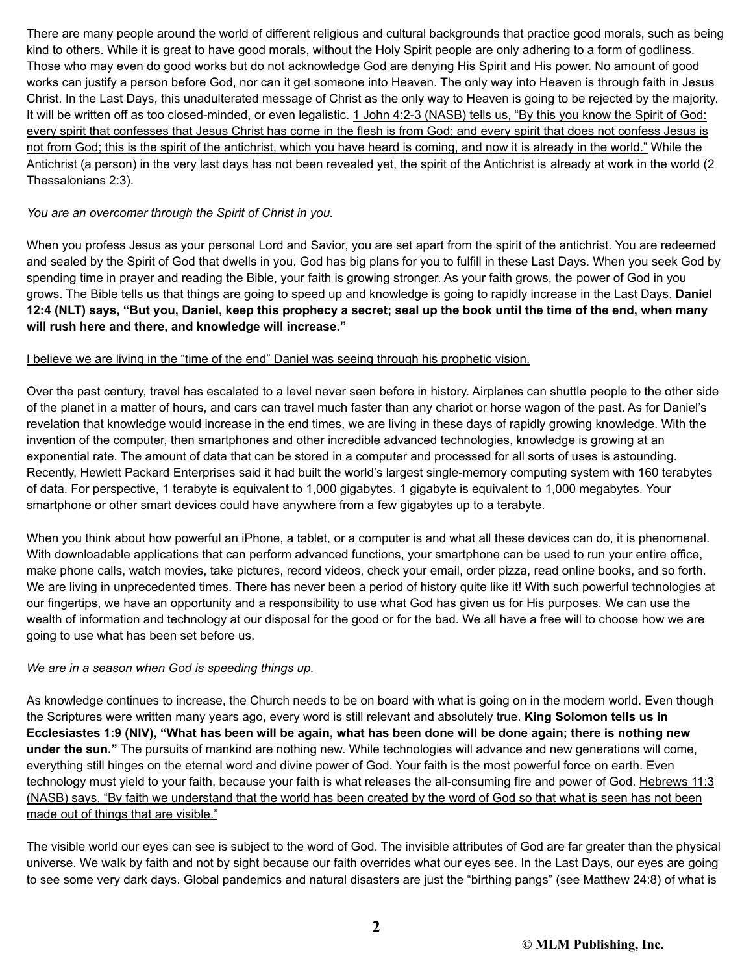There are many people around the world of different religious and cultural backgrounds that practice good morals, such as being kind to others. While it is great to have good morals, without the Holy Spirit people are only adhering to a form of godliness. Those who may even do good works but do not acknowledge God are denying His Spirit and His power. No amount of good works can justify a person before God, nor can it get someone into Heaven. The only way into Heaven is through faith in Jesus Christ. In the Last Days, this unadulterated message of Christ as the only way to Heaven is going to be rejected by the majority. It will be written off as too closed-minded, or even legalistic. 1 John 4:2-3 (NASB) tells us, "By this you know the Spirit of God: every spirit that confesses that Jesus Christ has come in the flesh is from God; and every spirit that does not confess Jesus is not from God; this is the spirit of the antichrist, which you have heard is coming, and now it is already in the world." While the Antichrist (a person) in the very last days has not been revealed yet, the spirit of the Antichrist is already at work in the world (2 Thessalonians 2:3).

# *You are an overcomer through the Spirit of Christ in you.*

When you profess Jesus as your personal Lord and Savior, you are set apart from the spirit of the antichrist. You are redeemed and sealed by the Spirit of God that dwells in you. God has big plans for you to fulfill in these Last Days. When you seek God by spending time in prayer and reading the Bible, your faith is growing stronger. As your faith grows, the power of God in you grows. The Bible tells us that things are going to speed up and knowledge is going to rapidly increase in the Last Days. **Daniel** 12:4 (NLT) says, "But you, Daniel, keep this prophecy a secret; seal up the book until the time of the end, when many **will rush here and there, and knowledge will increase."**

#### I believe we are living in the "time of the end" Daniel was seeing through his prophetic vision.

Over the past century, travel has escalated to a level never seen before in history. Airplanes can shuttle people to the other side of the planet in a matter of hours, and cars can travel much faster than any chariot or horse wagon of the past. As for Daniel's revelation that knowledge would increase in the end times, we are living in these days of rapidly growing knowledge. With the invention of the computer, then smartphones and other incredible advanced technologies, knowledge is growing at an exponential rate. The amount of data that can be stored in a computer and processed for all sorts of uses is astounding. Recently, Hewlett Packard Enterprises said it had built the world's largest single-memory computing system with 160 terabytes of data. For perspective, 1 terabyte is equivalent to 1,000 gigabytes. 1 gigabyte is equivalent to 1,000 megabytes. Your smartphone or other smart devices could have anywhere from a few gigabytes up to a terabyte.

When you think about how powerful an iPhone, a tablet, or a computer is and what all these devices can do, it is phenomenal. With downloadable applications that can perform advanced functions, your smartphone can be used to run your entire office, make phone calls, watch movies, take pictures, record videos, check your email, order pizza, read online books, and so forth. We are living in unprecedented times. There has never been a period of history quite like it! With such powerful technologies at our fingertips, we have an opportunity and a responsibility to use what God has given us for His purposes. We can use the wealth of information and technology at our disposal for the good or for the bad. We all have a free will to choose how we are going to use what has been set before us.

#### *We are in a season when God is speeding things up.*

As knowledge continues to increase, the Church needs to be on board with what is going on in the modern world. Even though the Scriptures were written many years ago, every word is still relevant and absolutely true. **King Solomon tells us in** Ecclesiastes 1:9 (NIV), "What has been will be again, what has been done will be done again; there is nothing new **under the sun."** The pursuits of mankind are nothing new. While technologies will advance and new generations will come, everything still hinges on the eternal word and divine power of God. Your faith is the most powerful force on earth. Even technology must yield to your faith, because your faith is what releases the all-consuming fire and power of God. Hebrews 11:3 (NASB) says, "By faith we understand that the world has been created by the word of God so that what is seen has not been made out of things that are visible."

The visible world our eyes can see is subject to the word of God. The invisible attributes of God are far greater than the physical universe. We walk by faith and not by sight because our faith overrides what our eyes see. In the Last Days, our eyes are going to see some very dark days. Global pandemics and natural disasters are just the "birthing pangs" (see Matthew 24:8) of what is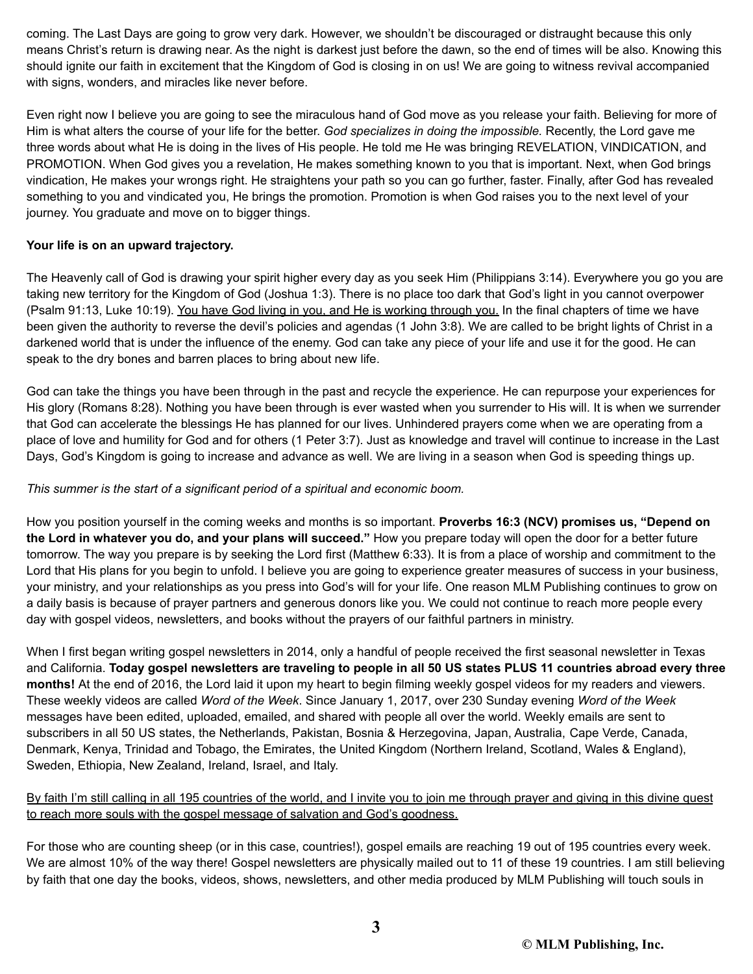coming. The Last Days are going to grow very dark. However, we shouldn't be discouraged or distraught because this only means Christ's return is drawing near. As the night is darkest just before the dawn, so the end of times will be also. Knowing this should ignite our faith in excitement that the Kingdom of God is closing in on us! We are going to witness revival accompanied with signs, wonders, and miracles like never before.

Even right now I believe you are going to see the miraculous hand of God move as you release your faith. Believing for more of Him is what alters the course of your life for the better. *God specializes in doing the impossible.* Recently, the Lord gave me three words about what He is doing in the lives of His people. He told me He was bringing REVELATION, VINDICATION, and PROMOTION. When God gives you a revelation, He makes something known to you that is important. Next, when God brings vindication, He makes your wrongs right. He straightens your path so you can go further, faster. Finally, after God has revealed something to you and vindicated you, He brings the promotion. Promotion is when God raises you to the next level of your journey. You graduate and move on to bigger things.

# **Your life is on an upward trajectory.**

The Heavenly call of God is drawing your spirit higher every day as you seek Him (Philippians 3:14). Everywhere you go you are taking new territory for the Kingdom of God (Joshua 1:3). There is no place too dark that God's light in you cannot overpower (Psalm 91:13, Luke 10:19). You have God living in you, and He is working through you. In the final chapters of time we have been given the authority to reverse the devil's policies and agendas (1 John 3:8). We are called to be bright lights of Christ in a darkened world that is under the influence of the enemy. God can take any piece of your life and use it for the good. He can speak to the dry bones and barren places to bring about new life.

God can take the things you have been through in the past and recycle the experience. He can repurpose your experiences for His glory (Romans 8:28). Nothing you have been through is ever wasted when you surrender to His will. It is when we surrender that God can accelerate the blessings He has planned for our lives. Unhindered prayers come when we are operating from a place of love and humility for God and for others (1 Peter 3:7). Just as knowledge and travel will continue to increase in the Last Days, God's Kingdom is going to increase and advance as well. We are living in a season when God is speeding things up.

# *This summer is the start of a significant period of a spiritual and economic boom.*

How you position yourself in the coming weeks and months is so important. **Proverbs 16:3 (NCV) promises us, "Depend on the Lord in whatever you do, and your plans will succeed."** How you prepare today will open the door for a better future tomorrow. The way you prepare is by seeking the Lord first (Matthew 6:33). It is from a place of worship and commitment to the Lord that His plans for you begin to unfold. I believe you are going to experience greater measures of success in your business, your ministry, and your relationships as you press into God's will for your life. One reason MLM Publishing continues to grow on a daily basis is because of prayer partners and generous donors like you. We could not continue to reach more people every day with gospel videos, newsletters, and books without the prayers of our faithful partners in ministry.

When I first began writing gospel newsletters in 2014, only a handful of people received the first seasonal newsletter in Texas and California. Today gospel newsletters are traveling to people in all 50 US states PLUS 11 countries abroad every three **months!** At the end of 2016, the Lord laid it upon my heart to begin filming weekly gospel videos for my readers and viewers. These weekly videos are called *Word of the Week*. Since January 1, 2017, over 230 Sunday evening *Word of the Week* messages have been edited, uploaded, emailed, and shared with people all over the world. Weekly emails are sent to subscribers in all 50 US states, the Netherlands, Pakistan, Bosnia & Herzegovina, Japan, Australia, Cape Verde, Canada, Denmark, Kenya, Trinidad and Tobago, the Emirates, the United Kingdom (Northern Ireland, Scotland, Wales & England), Sweden, Ethiopia, New Zealand, Ireland, Israel, and Italy.

# By faith I'm still calling in all 195 countries of the world, and I invite you to join me through prayer and giving in this divine quest to reach more souls with the gospel message of salvation and God's goodness.

For those who are counting sheep (or in this case, countries!), gospel emails are reaching 19 out of 195 countries every week. We are almost 10% of the way there! Gospel newsletters are physically mailed out to 11 of these 19 countries. I am still believing by faith that one day the books, videos, shows, newsletters, and other media produced by MLM Publishing will touch souls in